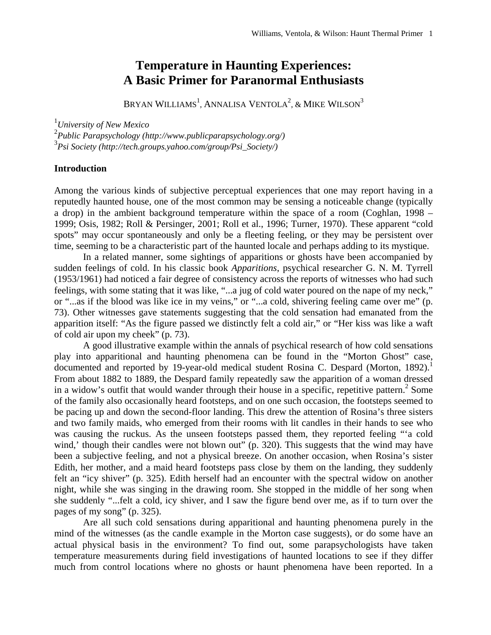# **Temperature in Haunting Experiences: A Basic Primer for Paranormal Enthusiasts**

BRYAN WILLIAMS<sup>1</sup>, ANNALISA VENTOLA<sup>2</sup>, & MIKE WILSON<sup>3</sup>

1 *University of New Mexico* 

2 *Public Parapsychology (http://www.publicparapsychology.org/)*  3 *Psi Society (http://tech.groups.yahoo.com/group/Psi\_Society/)* 

### **Introduction**

Among the various kinds of subjective perceptual experiences that one may report having in a reputedly haunted house, one of the most common may be sensing a noticeable change (typically a drop) in the ambient background temperature within the space of a room (Coghlan, 1998 – 1999; Osis, 1982; Roll & Persinger, 2001; Roll et al., 1996; Turner, 1970). These apparent "cold spots" may occur spontaneously and only be a fleeting feeling, or they may be persistent over time, seeming to be a characteristic part of the haunted locale and perhaps adding to its mystique.

In a related manner, some sightings of apparitions or ghosts have been accompanied by sudden feelings of cold. In his classic book *Apparitions*, psychical researcher G. N. M. Tyrrell (1953/1961) had noticed a fair degree of consistency across the reports of witnesses who had such feelings, with some stating that it was like, "...a jug of cold water poured on the nape of my neck," or "...as if the blood was like ice in my veins," or "...a cold, shivering feeling came over me" (p. 73). Other witnesses gave statements suggesting that the cold sensation had emanated from the apparition itself: "As the figure passed we distinctly felt a cold air," or "Her kiss was like a waft of cold air upon my cheek" (p. 73).

 A good illustrative example within the annals of psychical research of how cold sensations play into apparitional and haunting phenomena can be found in the "Morton Ghost" case, documented and reported by 19-year-old medical student Rosina C. Despard (Morton, 1892).<sup>1</sup> From about 1882 to 1889, the Despard family repeatedly saw the apparition of a woman dressed in a widow's outfit that would wander through their house in a specific, repetitive pattern.<sup>2</sup> Some of the family also occasionally heard footsteps, and on one such occasion, the footsteps seemed to be pacing up and down the second-floor landing. This drew the attention of Rosina's three sisters and two family maids, who emerged from their rooms with lit candles in their hands to see who was causing the ruckus. As the unseen footsteps passed them, they reported feeling "'a cold wind,' though their candles were not blown out" (p. 320). This suggests that the wind may have been a subjective feeling, and not a physical breeze. On another occasion, when Rosina's sister Edith, her mother, and a maid heard footsteps pass close by them on the landing, they suddenly felt an "icy shiver" (p. 325). Edith herself had an encounter with the spectral widow on another night, while she was singing in the drawing room. She stopped in the middle of her song when she suddenly "...felt a cold, icy shiver, and I saw the figure bend over me, as if to turn over the pages of my song" (p. 325).

 Are all such cold sensations during apparitional and haunting phenomena purely in the mind of the witnesses (as the candle example in the Morton case suggests), or do some have an actual physical basis in the environment? To find out, some parapsychologists have taken temperature measurements during field investigations of haunted locations to see if they differ much from control locations where no ghosts or haunt phenomena have been reported. In a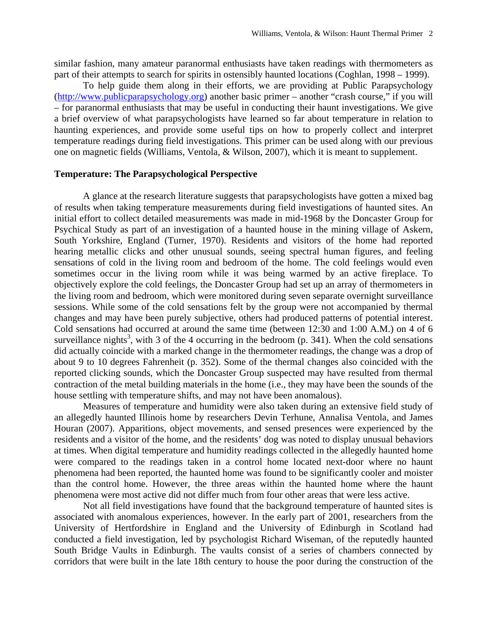similar fashion, many amateur paranormal enthusiasts have taken readings with thermometers as part of their attempts to search for spirits in ostensibly haunted locations (Coghlan, 1998 – 1999).

To help guide them along in their efforts, we are providing at Public Parapsychology ([http://www.publicparapsychology.org\)](http://www.publicparapsychology.org/) another basic primer – another "crash course," if you will – for paranormal enthusiasts that may be useful in conducting their haunt investigations. We give a brief overview of what parapsychologists have learned so far about temperature in relation to haunting experiences, and provide some useful tips on how to properly collect and interpret temperature readings during field investigations. This primer can be used along with our previous one on magnetic fields (Williams, Ventola, & Wilson, 2007), which it is meant to supplement.

#### **Temperature: The Parapsychological Perspective**

 A glance at the research literature suggests that parapsychologists have gotten a mixed bag of results when taking temperature measurements during field investigations of haunted sites. An initial effort to collect detailed measurements was made in mid-1968 by the Doncaster Group for Psychical Study as part of an investigation of a haunted house in the mining village of Askern, South Yorkshire, England (Turner, 1970). Residents and visitors of the home had reported hearing metallic clicks and other unusual sounds, seeing spectral human figures, and feeling sensations of cold in the living room and bedroom of the home. The cold feelings would even sometimes occur in the living room while it was being warmed by an active fireplace. To objectively explore the cold feelings, the Doncaster Group had set up an array of thermometers in the living room and bedroom, which were monitored during seven separate overnight surveillance sessions. While some of the cold sensations felt by the group were not accompanied by thermal changes and may have been purely subjective, others had produced patterns of potential interest. Cold sensations had occurred at around the same time (between 12:30 and 1:00 A.M.) on 4 of 6 surveillance nights<sup>3</sup>, with 3 of the 4 occurring in the bedroom  $(p. 341)$ . When the cold sensations did actually coincide with a marked change in the thermometer readings, the change was a drop of about 9 to 10 degrees Fahrenheit (p. 352). Some of the thermal changes also coincided with the reported clicking sounds, which the Doncaster Group suspected may have resulted from thermal contraction of the metal building materials in the home (i.e., they may have been the sounds of the house settling with temperature shifts, and may not have been anomalous).

 Measures of temperature and humidity were also taken during an extensive field study of an allegedly haunted Illinois home by researchers Devin Terhune, Annalisa Ventola, and James Houran (2007). Apparitions, object movements, and sensed presences were experienced by the residents and a visitor of the home, and the residents' dog was noted to display unusual behaviors at times. When digital temperature and humidity readings collected in the allegedly haunted home were compared to the readings taken in a control home located next-door where no haunt phenomena had been reported, the haunted home was found to be significantly cooler and moister than the control home. However, the three areas within the haunted home where the haunt phenomena were most active did not differ much from four other areas that were less active.

Not all field investigations have found that the background temperature of haunted sites is associated with anomalous experiences, however. In the early part of 2001, researchers from the University of Hertfordshire in England and the University of Edinburgh in Scotland had conducted a field investigation, led by psychologist Richard Wiseman, of the reputedly haunted South Bridge Vaults in Edinburgh. The vaults consist of a series of chambers connected by corridors that were built in the late 18th century to house the poor during the construction of the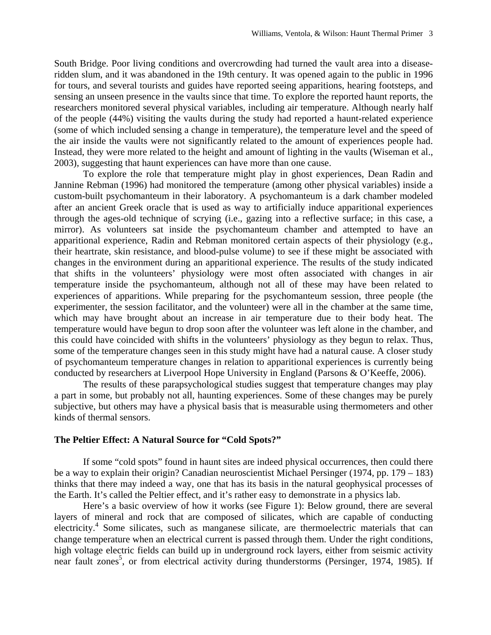South Bridge. Poor living conditions and overcrowding had turned the vault area into a diseaseridden slum, and it was abandoned in the 19th century. It was opened again to the public in 1996 for tours, and several tourists and guides have reported seeing apparitions, hearing footsteps, and sensing an unseen presence in the vaults since that time. To explore the reported haunt reports, the researchers monitored several physical variables, including air temperature. Although nearly half of the people (44%) visiting the vaults during the study had reported a haunt-related experience (some of which included sensing a change in temperature), the temperature level and the speed of the air inside the vaults were not significantly related to the amount of experiences people had. Instead, they were more related to the height and amount of lighting in the vaults (Wiseman et al., 2003), suggesting that haunt experiences can have more than one cause.

 To explore the role that temperature might play in ghost experiences, Dean Radin and Jannine Rebman (1996) had monitored the temperature (among other physical variables) inside a custom-built psychomanteum in their laboratory. A psychomanteum is a dark chamber modeled after an ancient Greek oracle that is used as way to artificially induce apparitional experiences through the ages-old technique of scrying (i.e., gazing into a reflective surface; in this case, a mirror). As volunteers sat inside the psychomanteum chamber and attempted to have an apparitional experience, Radin and Rebman monitored certain aspects of their physiology (e.g., their heartrate, skin resistance, and blood-pulse volume) to see if these might be associated with changes in the environment during an apparitional experience. The results of the study indicated that shifts in the volunteers' physiology were most often associated with changes in air temperature inside the psychomanteum, although not all of these may have been related to experiences of apparitions. While preparing for the psychomanteum session, three people (the experimenter, the session facilitator, and the volunteer) were all in the chamber at the same time, which may have brought about an increase in air temperature due to their body heat. The temperature would have begun to drop soon after the volunteer was left alone in the chamber, and this could have coincided with shifts in the volunteers' physiology as they begun to relax. Thus, some of the temperature changes seen in this study might have had a natural cause. A closer study of psychomanteum temperature changes in relation to apparitional experiences is currently being conducted by researchers at Liverpool Hope University in England (Parsons & O'Keeffe, 2006).

 The results of these parapsychological studies suggest that temperature changes may play a part in some, but probably not all, haunting experiences. Some of these changes may be purely subjective, but others may have a physical basis that is measurable using thermometers and other kinds of thermal sensors.

# **The Peltier Effect: A Natural Source for "Cold Spots?"**

 If some "cold spots" found in haunt sites are indeed physical occurrences, then could there be a way to explain their origin? Canadian neuroscientist Michael Persinger (1974, pp. 179 – 183) thinks that there may indeed a way, one that has its basis in the natural geophysical processes of the Earth. It's called the Peltier effect, and it's rather easy to demonstrate in a physics lab.

 Here's a basic overview of how it works (see Figure 1): Below ground, there are several layers of mineral and rock that are composed of silicates, which are capable of conducting electricity.<sup>4</sup> Some silicates, such as manganese silicate, are thermoelectric materials that can change temperature when an electrical current is passed through them. Under the right conditions, high voltage electric fields can build up in underground rock layers, either from seismic activity near fault zones<sup>5</sup>, or from electrical activity during thunderstorms (Persinger, 1974, 1985). If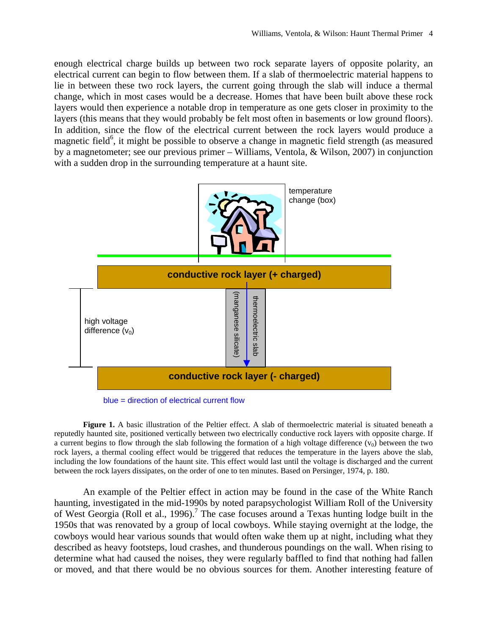enough electrical charge builds up between two rock separate layers of opposite polarity, an electrical current can begin to flow between them. If a slab of thermoelectric material happens to lie in between these two rock layers, the current going through the slab will induce a thermal change, which in most cases would be a decrease. Homes that have been built above these rock layers would then experience a notable drop in temperature as one gets closer in proximity to the layers (this means that they would probably be felt most often in basements or low ground floors). In addition, since the flow of the electrical current between the rock layers would produce a magnetic field<sup>6</sup>, it might be possible to observe a change in magnetic field strength (as measured by a magnetometer; see our previous primer – Williams, Ventola, & Wilson, 2007) in conjunction with a sudden drop in the surrounding temperature at a haunt site.



blue = direction of electrical current flow

**Figure 1.** A basic illustration of the Peltier effect. A slab of thermoelectric material is situated beneath a reputedly haunted site, positioned vertically between two electrically conductive rock layers with opposite charge. If a current begins to flow through the slab following the formation of a high voltage difference  $(v_0)$  between the two rock layers, a thermal cooling effect would be triggered that reduces the temperature in the layers above the slab, including the low foundations of the haunt site. This effect would last until the voltage is discharged and the current between the rock layers dissipates, on the order of one to ten minutes. Based on Persinger, 1974, p. 180.

An example of the Peltier effect in action may be found in the case of the White Ranch haunting, investigated in the mid-1990s by noted parapsychologist William Roll of the University of West Georgia (Roll et al., 1996).<sup>7</sup> The case focuses around a Texas hunting lodge built in the 1950s that was renovated by a group of local cowboys. While staying overnight at the lodge, the cowboys would hear various sounds that would often wake them up at night, including what they described as heavy footsteps, loud crashes, and thunderous poundings on the wall. When rising to determine what had caused the noises, they were regularly baffled to find that nothing had fallen or moved, and that there would be no obvious sources for them. Another interesting feature of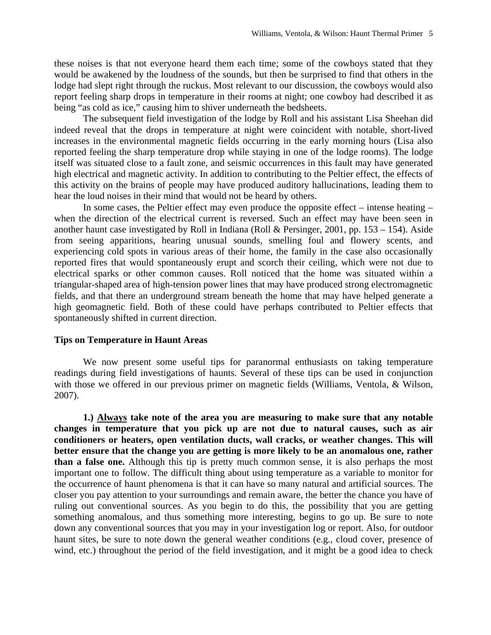these noises is that not everyone heard them each time; some of the cowboys stated that they would be awakened by the loudness of the sounds, but then be surprised to find that others in the lodge had slept right through the ruckus. Most relevant to our discussion, the cowboys would also report feeling sharp drops in temperature in their rooms at night; one cowboy had described it as being "as cold as ice," causing him to shiver underneath the bedsheets.

 The subsequent field investigation of the lodge by Roll and his assistant Lisa Sheehan did indeed reveal that the drops in temperature at night were coincident with notable, short-lived increases in the environmental magnetic fields occurring in the early morning hours (Lisa also reported feeling the sharp temperature drop while staying in one of the lodge rooms). The lodge itself was situated close to a fault zone, and seismic occurrences in this fault may have generated high electrical and magnetic activity. In addition to contributing to the Peltier effect, the effects of this activity on the brains of people may have produced auditory hallucinations, leading them to hear the loud noises in their mind that would not be heard by others.

 In some cases, the Peltier effect may even produce the opposite effect – intense heating – when the direction of the electrical current is reversed. Such an effect may have been seen in another haunt case investigated by Roll in Indiana (Roll & Persinger, 2001, pp. 153 – 154). Aside from seeing apparitions, hearing unusual sounds, smelling foul and flowery scents, and experiencing cold spots in various areas of their home, the family in the case also occasionally reported fires that would spontaneously erupt and scorch their ceiling, which were not due to electrical sparks or other common causes. Roll noticed that the home was situated within a triangular-shaped area of high-tension power lines that may have produced strong electromagnetic fields, and that there an underground stream beneath the home that may have helped generate a high geomagnetic field. Both of these could have perhaps contributed to Peltier effects that spontaneously shifted in current direction.

### **Tips on Temperature in Haunt Areas**

We now present some useful tips for paranormal enthusiasts on taking temperature readings during field investigations of haunts. Several of these tips can be used in conjunction with those we offered in our previous primer on magnetic fields (Williams, Ventola, & Wilson, 2007).

**1.) Always take note of the area you are measuring to make sure that any notable changes in temperature that you pick up are not due to natural causes, such as air conditioners or heaters, open ventilation ducts, wall cracks, or weather changes. This will better ensure that the change you are getting is more likely to be an anomalous one, rather than a false one.** Although this tip is pretty much common sense, it is also perhaps the most important one to follow. The difficult thing about using temperature as a variable to monitor for the occurrence of haunt phenomena is that it can have so many natural and artificial sources. The closer you pay attention to your surroundings and remain aware, the better the chance you have of ruling out conventional sources. As you begin to do this, the possibility that you are getting something anomalous, and thus something more interesting, begins to go up. Be sure to note down any conventional sources that you may in your investigation log or report. Also, for outdoor haunt sites, be sure to note down the general weather conditions (e.g., cloud cover, presence of wind, etc.) throughout the period of the field investigation, and it might be a good idea to check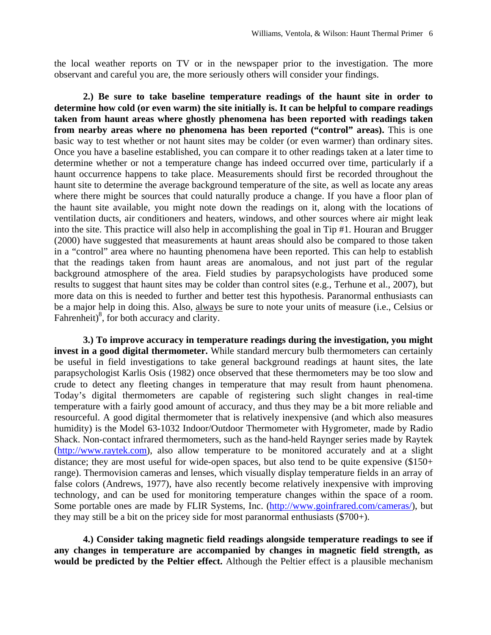the local weather reports on TV or in the newspaper prior to the investigation. The more observant and careful you are, the more seriously others will consider your findings.

**2.) Be sure to take baseline temperature readings of the haunt site in order to determine how cold (or even warm) the site initially is. It can be helpful to compare readings taken from haunt areas where ghostly phenomena has been reported with readings taken**  from nearby areas where no phenomena has been reported ("control" areas). This is one basic way to test whether or not haunt sites may be colder (or even warmer) than ordinary sites. Once you have a baseline established, you can compare it to other readings taken at a later time to determine whether or not a temperature change has indeed occurred over time, particularly if a haunt occurrence happens to take place. Measurements should first be recorded throughout the haunt site to determine the average background temperature of the site, as well as locate any areas where there might be sources that could naturally produce a change. If you have a floor plan of the haunt site available, you might note down the readings on it, along with the locations of ventilation ducts, air conditioners and heaters, windows, and other sources where air might leak into the site. This practice will also help in accomplishing the goal in Tip #1. Houran and Brugger (2000) have suggested that measurements at haunt areas should also be compared to those taken in a "control" area where no haunting phenomena have been reported. This can help to establish that the readings taken from haunt areas are anomalous, and not just part of the regular background atmosphere of the area. Field studies by parapsychologists have produced some results to suggest that haunt sites may be colder than control sites (e.g., Terhune et al., 2007), but more data on this is needed to further and better test this hypothesis. Paranormal enthusiasts can be a major help in doing this. Also, always be sure to note your units of measure (i.e., Celsius or Fahrenheit) $\frac{8}{3}$ , for both accuracy and clarity.

**3.) To improve accuracy in temperature readings during the investigation, you might invest in a good digital thermometer.** While standard mercury bulb thermometers can certainly be useful in field investigations to take general background readings at haunt sites, the late parapsychologist Karlis Osis (1982) once observed that these thermometers may be too slow and crude to detect any fleeting changes in temperature that may result from haunt phenomena. Today's digital thermometers are capable of registering such slight changes in real-time temperature with a fairly good amount of accuracy, and thus they may be a bit more reliable and resourceful. A good digital thermometer that is relatively inexpensive (and which also measures humidity) is the Model 63-1032 Indoor/Outdoor Thermometer with Hygrometer, made by Radio Shack. Non-contact infrared thermometers, such as the hand-held Raynger series made by Raytek ([http://www.raytek.com](http://www.raytek.com/)), also allow temperature to be monitored accurately and at a slight distance; they are most useful for wide-open spaces, but also tend to be quite expensive (\$150+ range). Thermovision cameras and lenses, which visually display temperature fields in an array of false colors (Andrews, 1977), have also recently become relatively inexpensive with improving technology, and can be used for monitoring temperature changes within the space of a room. Some portable ones are made by FLIR Systems, Inc. [\(http://www.goinfrared.com/cameras/\)](http://www.goinfrared.com/cameras/), but they may still be a bit on the pricey side for most paranormal enthusiasts  $(\$700+)$ .

 **4.) Consider taking magnetic field readings alongside temperature readings to see if any changes in temperature are accompanied by changes in magnetic field strength, as would be predicted by the Peltier effect.** Although the Peltier effect is a plausible mechanism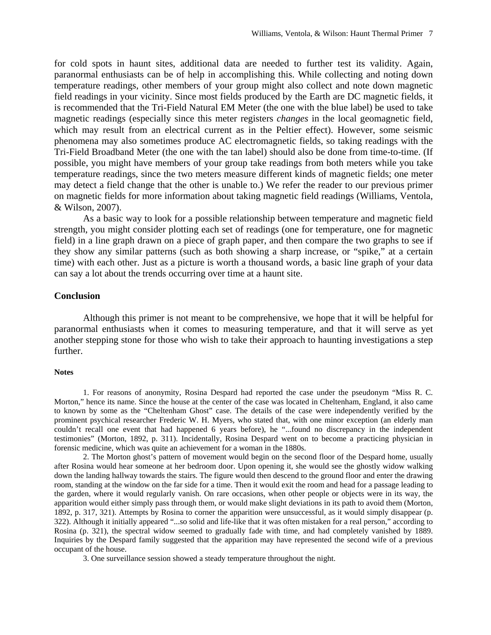for cold spots in haunt sites, additional data are needed to further test its validity. Again, paranormal enthusiasts can be of help in accomplishing this. While collecting and noting down temperature readings, other members of your group might also collect and note down magnetic field readings in your vicinity. Since most fields produced by the Earth are DC magnetic fields, it is recommended that the Tri-Field Natural EM Meter (the one with the blue label) be used to take magnetic readings (especially since this meter registers *changes* in the local geomagnetic field, which may result from an electrical current as in the Peltier effect). However, some seismic phenomena may also sometimes produce AC electromagnetic fields, so taking readings with the Tri-Field Broadband Meter (the one with the tan label) should also be done from time-to-time. (If possible, you might have members of your group take readings from both meters while you take temperature readings, since the two meters measure different kinds of magnetic fields; one meter may detect a field change that the other is unable to.) We refer the reader to our previous primer on magnetic fields for more information about taking magnetic field readings (Williams, Ventola, & Wilson, 2007).

 As a basic way to look for a possible relationship between temperature and magnetic field strength, you might consider plotting each set of readings (one for temperature, one for magnetic field) in a line graph drawn on a piece of graph paper, and then compare the two graphs to see if they show any similar patterns (such as both showing a sharp increase, or "spike," at a certain time) with each other. Just as a picture is worth a thousand words, a basic line graph of your data can say a lot about the trends occurring over time at a haunt site.

# **Conclusion**

 Although this primer is not meant to be comprehensive, we hope that it will be helpful for paranormal enthusiasts when it comes to measuring temperature, and that it will serve as yet another stepping stone for those who wish to take their approach to haunting investigations a step further.

#### **Notes**

1. For reasons of anonymity, Rosina Despard had reported the case under the pseudonym "Miss R. C. Morton," hence its name. Since the house at the center of the case was located in Cheltenham, England, it also came to known by some as the "Cheltenham Ghost" case. The details of the case were independently verified by the prominent psychical researcher Frederic W. H. Myers, who stated that, with one minor exception (an elderly man couldn't recall one event that had happened 6 years before), he "...found no discrepancy in the independent testimonies" (Morton, 1892, p. 311). Incidentally, Rosina Despard went on to become a practicing physician in forensic medicine, which was quite an achievement for a woman in the 1880s.

 2. The Morton ghost's pattern of movement would begin on the second floor of the Despard home, usually after Rosina would hear someone at her bedroom door. Upon opening it, she would see the ghostly widow walking down the landing hallway towards the stairs. The figure would then descend to the ground floor and enter the drawing room, standing at the window on the far side for a time. Then it would exit the room and head for a passage leading to the garden, where it would regularly vanish. On rare occasions, when other people or objects were in its way, the apparition would either simply pass through them, or would make slight deviations in its path to avoid them (Morton, 1892, p. 317, 321). Attempts by Rosina to corner the apparition were unsuccessful, as it would simply disappear (p. 322). Although it initially appeared "...so solid and life-like that it was often mistaken for a real person," according to Rosina (p. 321), the spectral widow seemed to gradually fade with time, and had completely vanished by 1889. Inquiries by the Despard family suggested that the apparition may have represented the second wife of a previous occupant of the house.

3. One surveillance session showed a steady temperature throughout the night.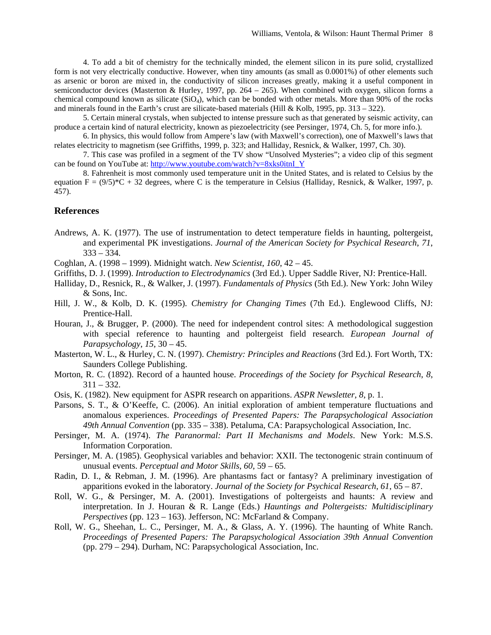4. To add a bit of chemistry for the technically minded, the element silicon in its pure solid, crystallized form is not very electrically conductive. However, when tiny amounts (as small as 0.0001%) of other elements such as arsenic or boron are mixed in, the conductivity of silicon increases greatly, making it a useful component in semiconductor devices (Masterton & Hurley, 1997, pp. 264 – 265). When combined with oxygen, silicon forms a chemical compound known as silicate  $(SiO<sub>4</sub>)$ , which can be bonded with other metals. More than 90% of the rocks and minerals found in the Earth's crust are silicate-based materials (Hill & Kolb, 1995, pp. 313 – 322).

 5. Certain mineral crystals, when subjected to intense pressure such as that generated by seismic activity, can produce a certain kind of natural electricity, known as piezoelectricity (see Persinger, 1974, Ch. 5, for more info.).

 6. In physics, this would follow from Ampere's law (with Maxwell's correction), one of Maxwell's laws that relates electricity to magnetism (see Griffiths, 1999, p. 323; and Halliday, Resnick, & Walker, 1997, Ch. 30).

 7. This case was profiled in a segment of the TV show "Unsolved Mysteries"; a video clip of this segment can be found on YouTube at: [http://www.youtube.com/watch?v=8xks0itnI\\_Y](http://www.youtube.com/watch?v=8xks0itnI_Y)

 8. Fahrenheit is most commonly used temperature unit in the United States, and is related to Celsius by the equation  $F = (9/5)^*C + 32$  degrees, where C is the temperature in Celsius (Halliday, Resnick, & Walker, 1997, p. 457).

## **References**

- Andrews, A. K. (1977). The use of instrumentation to detect temperature fields in haunting, poltergeist, and experimental PK investigations. *Journal of the American Society for Psychical Research*, *71*,  $333 - 334.$
- Coghlan, A. (1998 1999). Midnight watch. *New Scientist*, *160*, 42 45.
- Griffiths, D. J. (1999). *Introduction to Electrodynamics* (3rd Ed.). Upper Saddle River, NJ: Prentice-Hall.
- Halliday, D., Resnick, R., & Walker, J. (1997). *Fundamentals of Physics* (5th Ed.). New York: John Wiley & Sons, Inc.
- Hill, J. W., & Kolb, D. K. (1995). *Chemistry for Changing Times* (7th Ed.). Englewood Cliffs, NJ: Prentice-Hall.
- Houran, J., & Brugger, P. (2000). The need for independent control sites: A methodological suggestion with special reference to haunting and poltergeist field research. *European Journal of Parapsychology*, *15*, 30 – 45.
- Masterton, W. L., & Hurley, C. N. (1997). *Chemistry: Principles and Reactions* (3rd Ed.). Fort Worth, TX: Saunders College Publishing.
- Morton, R. C. (1892). Record of a haunted house. *Proceedings of the Society for Psychical Research*, *8*,  $311 - 332$ .
- Osis, K. (1982). New equipment for ASPR research on apparitions. *ASPR Newsletter*, *8*, p. 1.
- Parsons, S. T., & O'Keeffe, C. (2006). An initial exploration of ambient temperature fluctuations and anomalous experiences. *Proceedings of Presented Papers: The Parapsychological Association 49th Annual Convention* (pp. 335 – 338). Petaluma, CA: Parapsychological Association, Inc.
- Persinger, M. A. (1974). *The Paranormal: Part II Mechanisms and Models*. New York: M.S.S. Information Corporation.
- Persinger, M. A. (1985). Geophysical variables and behavior: XXII. The tectonogenic strain continuum of unusual events. *Perceptual and Motor Skills*, *60*, 59 – 65.
- Radin, D. I., & Rebman, J. M. (1996). Are phantasms fact or fantasy? A preliminary investigation of apparitions evoked in the laboratory. *Journal of the Society for Psychical Research*, *61*, 65 – 87.
- Roll, W. G., & Persinger, M. A. (2001). Investigations of poltergeists and haunts: A review and interpretation. In J. Houran & R. Lange (Eds.) *Hauntings and Poltergeists: Multidisciplinary Perspectives* (pp. 123 – 163). Jefferson, NC: McFarland & Company.
- Roll, W. G., Sheehan, L. C., Persinger, M. A., & Glass, A. Y. (1996). The haunting of White Ranch. *Proceedings of Presented Papers: The Parapsychological Association 39th Annual Convention* (pp. 279 – 294). Durham, NC: Parapsychological Association, Inc.